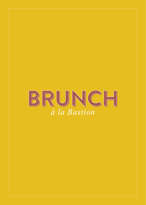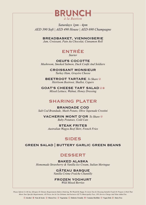

*Saturdays 1pm - 4pm AED 390 Soft | AED 490 House | AED 690 Champagne*

> BREADBASKET, VIENNOISERIE *Jam, Croissant, Pain Au Chocolat, Cinnamon Roll*



OEUFS COCOTTE *Mushroom, Smoked Salmon, Duck Confit And Soldiers* 

> CROISSANT MONSIEUR *Turkey Ham, Gruyère Cheese*

BEETROOT TARTARE *To Share Heirloom Beetroot, Shallot, Capers* 

GOAT'S CHEESE TART SALAD *Mixed Lettuce, Walnut, Honey Dressing*

## SHARING PLATER

BRANDADE COD *Salt Cod Brandade, Mash Potato, Olive Tapenade Crostini* 

VACHERIN MONT D'OR *To Share Baby Potatoes, Cold Cuts*

STEAK FRITES *Australian Wagyu Beef Skirt, French Fries*

## SIDES

GREEN SALAD | BUTTERY GARLIC GREEN BEANS

## **DESSERT**

BAKED ALASKA *Homemade Strawberry & Vanilla Ice Cream, Italian Meringue* 

> GÂTEAU BASQUE *Vanilla Crème Fraîche Chantilly*

FROZEN YOGHURT *Wild Mixed Berries*

*Please Inform Us Of Any Allergies Or Dietary Requirements Before Ordering, We Would Be Happy To Assist You In Choosing Suitable Foods Or Prepare A Dish That Meets Your Specific Requirements. All Prices Are In Uae Dirhams And Inclusive Of 7% Municipality Fees, 10% Service Charge And Value Added Tax.*

1 Alcohol ® Nuts & Seeds ® Gluten Free ® Vegetarian © Diabetic Friendly ® Contains Shellfish ® Vegan Dish ® Dairy Free